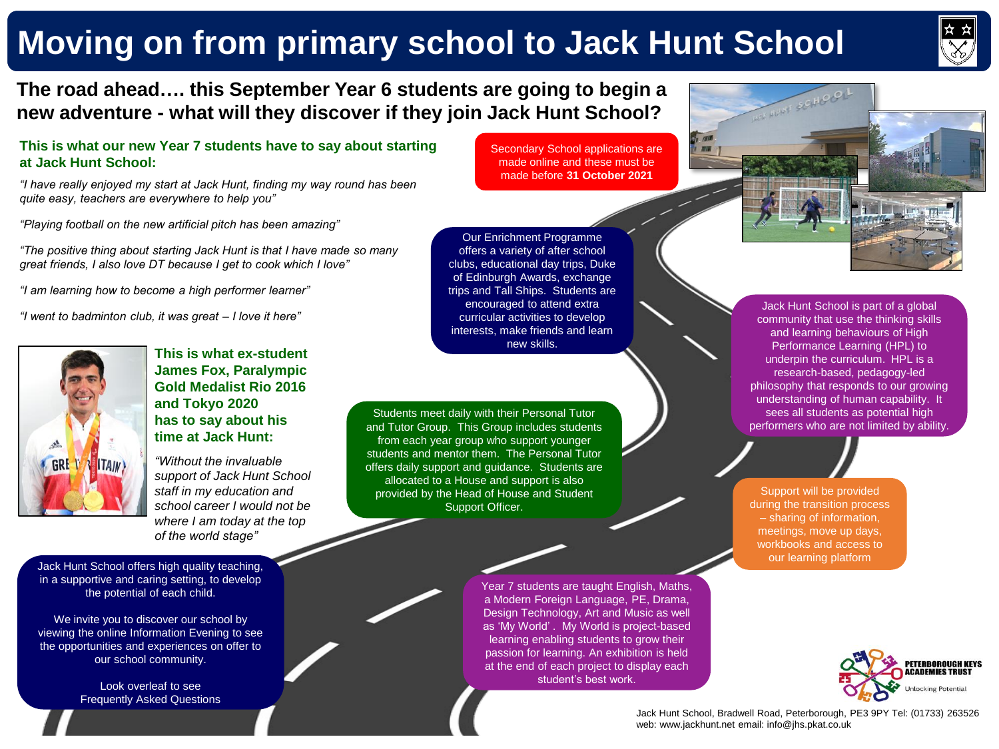# **Moving on from primary school to Jack Hunt School**



# **The road ahead…. this September Year 6 students are going to begin a new adventure - what will they discover if they join Jack Hunt School?**

# **This is what our new Year 7 students have to say about starting at Jack Hunt School:**

*"I have really enjoyed my start at Jack Hunt, finding my way round has been quite easy, teachers are everywhere to help you"*

*"Playing football on the new artificial pitch has been amazing"*

*"The positive thing about starting Jack Hunt is that I have made so many great friends, I also love DT because I get to cook which I love"*

*"I am learning how to become a high performer learner"*

*"I went to badminton club, it was great – I love it here"*



**This is what ex-student James Fox, Paralympic Gold Medalist Rio 2016 and Tokyo 2020 has to say about his time at Jack Hunt:**

*"Without the invaluable support of Jack Hunt School staff in my education and school career I would not be where I am today at the top of the world stage"*

Jack Hunt School offers high quality teaching, in a supportive and caring setting, to develop the potential of each child.

We invite you to discover our school by viewing the online Information Evening to see the opportunities and experiences on offer to our school community.

> Look overleaf to see Frequently Asked Questions

Secondary School applications are made online and these must be made before **31 October 2021**

Year 7 students are taught English, Maths, a Modern Foreign Language, PE, Drama, Design Technology, Art and Music as well as 'My World' . My World is project-based learning enabling students to grow their passion for learning. An exhibition is held at the end of each project to display each student's best work.

Our Enrichment Programme offers a variety of after school clubs, educational day trips, Duke of Edinburgh Awards, exchange trips and Tall Ships. Students are encouraged to attend extra curricular activities to develop interests, make friends and learn new skills.

Students meet daily with their Personal Tutor and Tutor Group. This Group includes students from each year group who support younger students and mentor them. The Personal Tutor offers daily support and guidance. Students are allocated to a House and support is also provided by the Head of House and Student Support Officer.

Jack Hunt School is part of a global community that use the thinking skills and learning behaviours of High Performance Learning (HPL) to underpin the curriculum. HPL is a research-based, pedagogy-led philosophy that responds to our growing understanding of human capability. It sees all students as potential high performers who are not limited by ability.

HUNT SCIND

Support will be provided during the transition process – sharing of information, meetings, move up days, workbooks and access to our learning platform



Jack Hunt School, Bradwell Road, Peterborough, PE3 9PY Tel: (01733) 263526 web: www.jackhunt.net email: info@jhs.pkat.co.uk